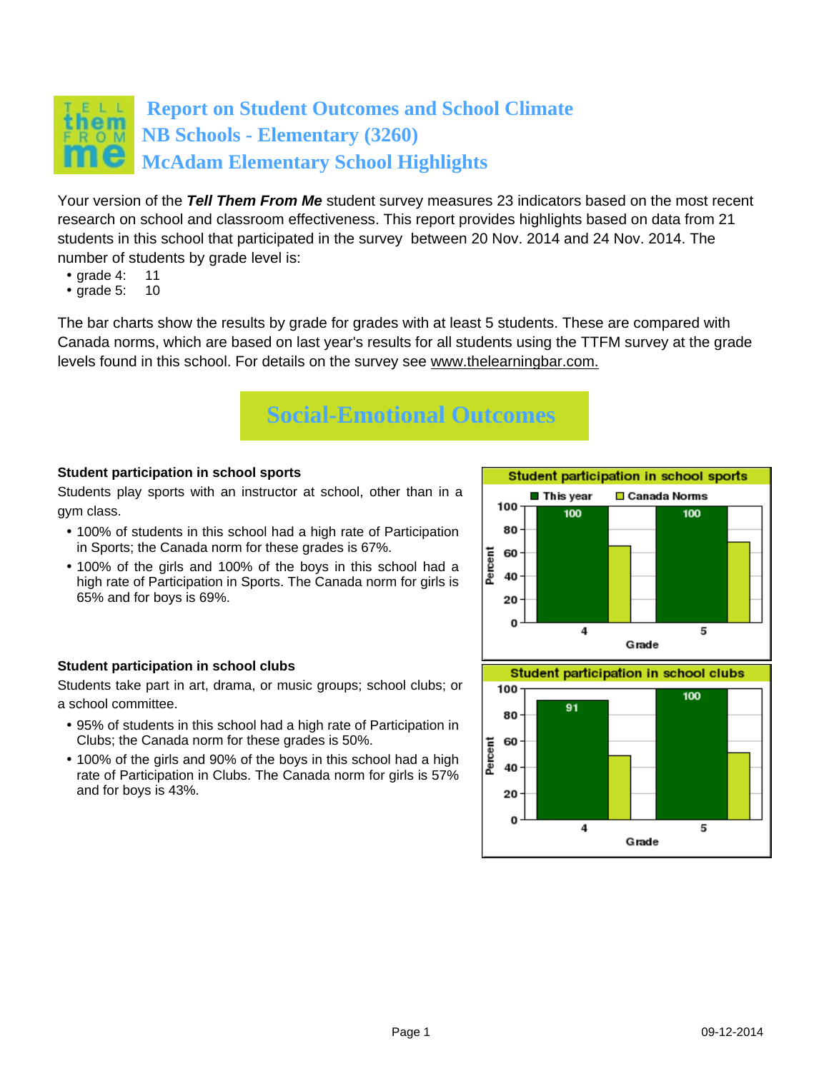## **Report on Student Outcomes and School Climate NB Schools - Elementary (3260) McAdam Elementary School Highlights**

Your version of the **Tell Them From Me** student survey measures 23 indicators based on the most recent research on school and classroom effectiveness. This report provides highlights based on data from 21 students in this school that participated in the survey between 20 Nov. 2014 and 24 Nov. 2014. The number of students by grade level is:

- grade 4: 11<br>• grade 5: 10
- $\bullet$  grade 5:

The bar charts show the results by grade for grades with at least 5 students. These are compared with Canada norms, which are based on last year's results for all students using the TTFM survey at the grade levels found in this school. For details on the survey see [www.thelearningbar.com.](www.thelearningbar.com)



## **Student participation in school sports**

Students play sports with an instructor at school, other than in a gym class.

- 100% of students in this school had a high rate of Participation in Sports; the Canada norm for these grades is 67%.
- 100% of the girls and 100% of the boys in this school had a high rate of Participation in Sports. The Canada norm for girls is 65% and for boys is 69%.



## **Student participation in school clubs**

Students take part in art, drama, or music groups; school clubs; or a school committee.

- 95% of students in this school had a high rate of Participation in Clubs; the Canada norm for these grades is 50%.
- 100% of the girls and 90% of the boys in this school had a high rate of Participation in Clubs. The Canada norm for girls is 57% and for boys is 43%.

5

20  $\Omega$ 

4

Grade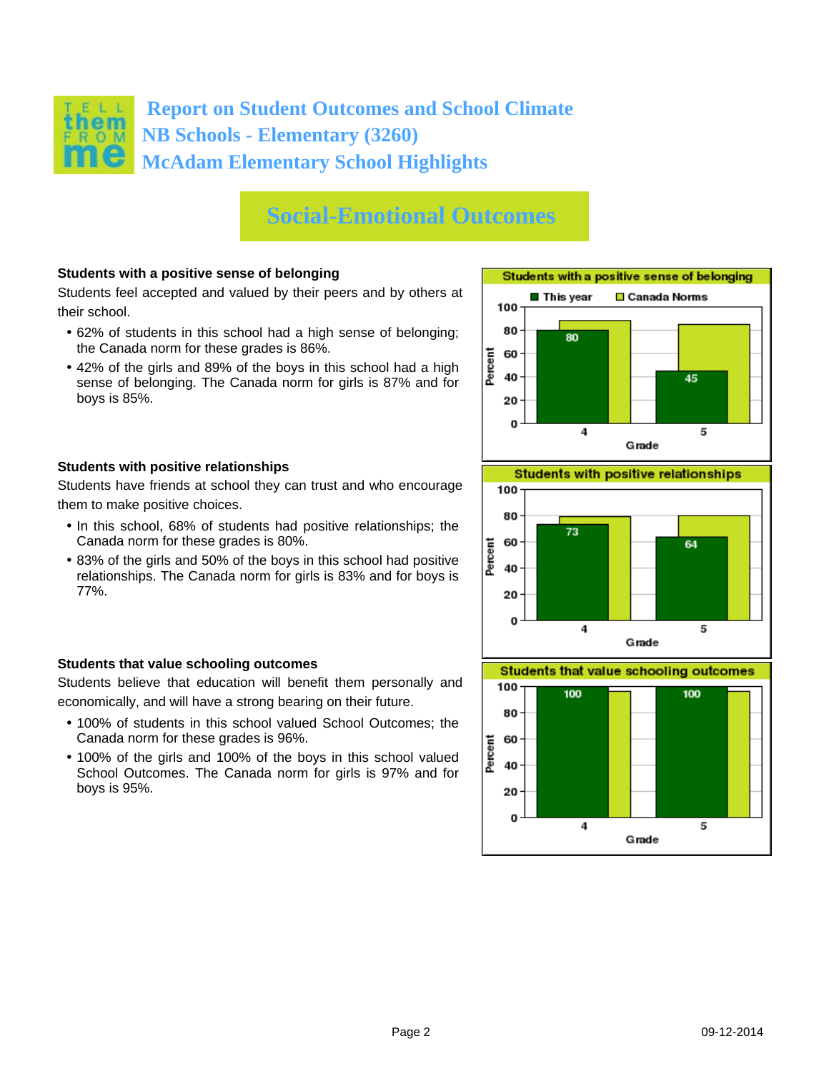

## **Social-Emotional Outcomes**

### **Students with a positive sense of belonging**

Students feel accepted and valued by their peers and by others at their school.

- 62% of students in this school had a high sense of belonging; the Canada norm for these grades is 86%.
- 42% of the girls and 89% of the boys in this school had a high sense of belonging. The Canada norm for girls is 87% and for boys is 85%.





Students have friends at school they can trust and who encourage them to make positive choices.

- In this school, 68% of students had positive relationships; the Canada norm for these grades is 80%.
- 83% of the girls and 50% of the boys in this school had positive relationships. The Canada norm for girls is 83% and for boys is 77%.

### **Students that value schooling outcomes**

Students believe that education will benefit them personally and economically, and will have a strong bearing on their future.

- 100% of students in this school valued School Outcomes; the Canada norm for these grades is 96%.
- 100% of the girls and 100% of the boys in this school valued School Outcomes. The Canada norm for girls is 97% and for boys is 95%.



**Students that value schooling outcomes** 

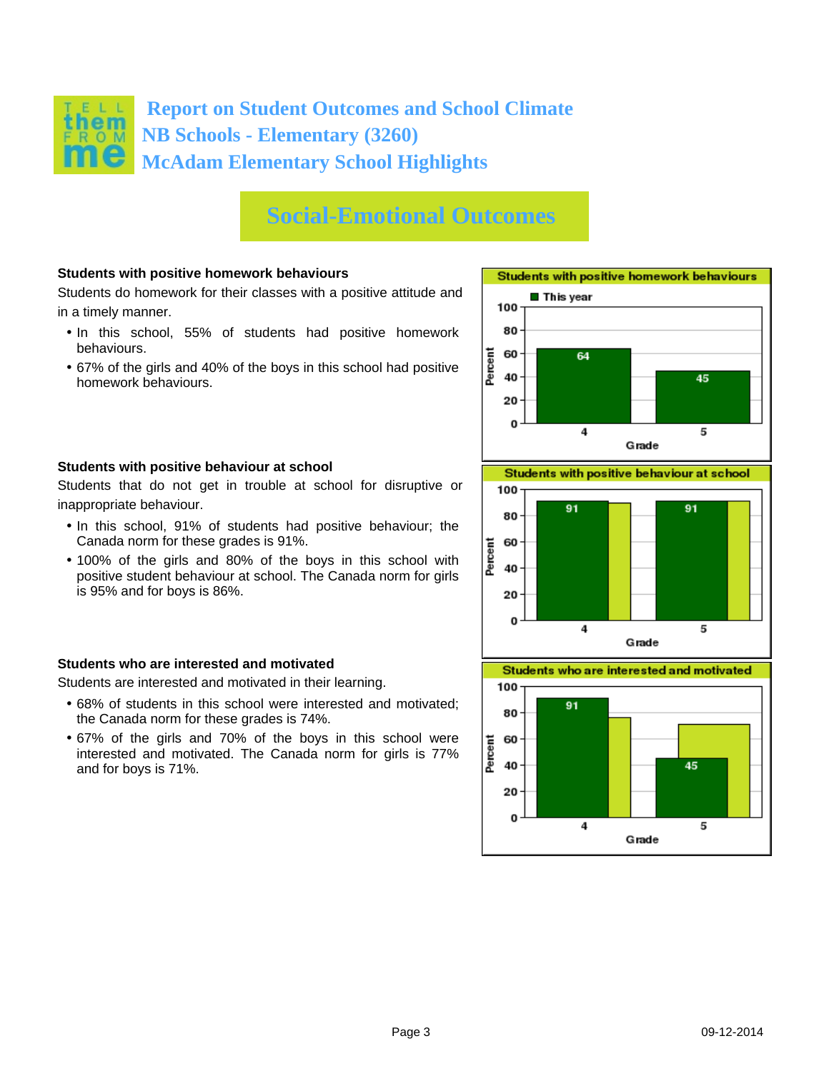

## **Social-Emotional Outcomes**

### **Students with positive homework behaviours**

Students do homework for their classes with a positive attitude and in a timely manner.

- In this school, 55% of students had positive homework behaviours.
- 67% of the girls and 40% of the boys in this school had positive homework behaviours.





Students that do not get in trouble at school for disruptive or inappropriate behaviour.

- In this school, 91% of students had positive behaviour; the Canada norm for these grades is 91%.
- 100% of the girls and 80% of the boys in this school with positive student behaviour at school. The Canada norm for girls is 95% and for boys is 86%.

#### **Students who are interested and motivated**

Students are interested and motivated in their learning.

- 68% of students in this school were interested and motivated; the Canada norm for these grades is 74%.
- 67% of the girls and 70% of the boys in this school were interested and motivated. The Canada norm for girls is 77% and for boys is 71%.





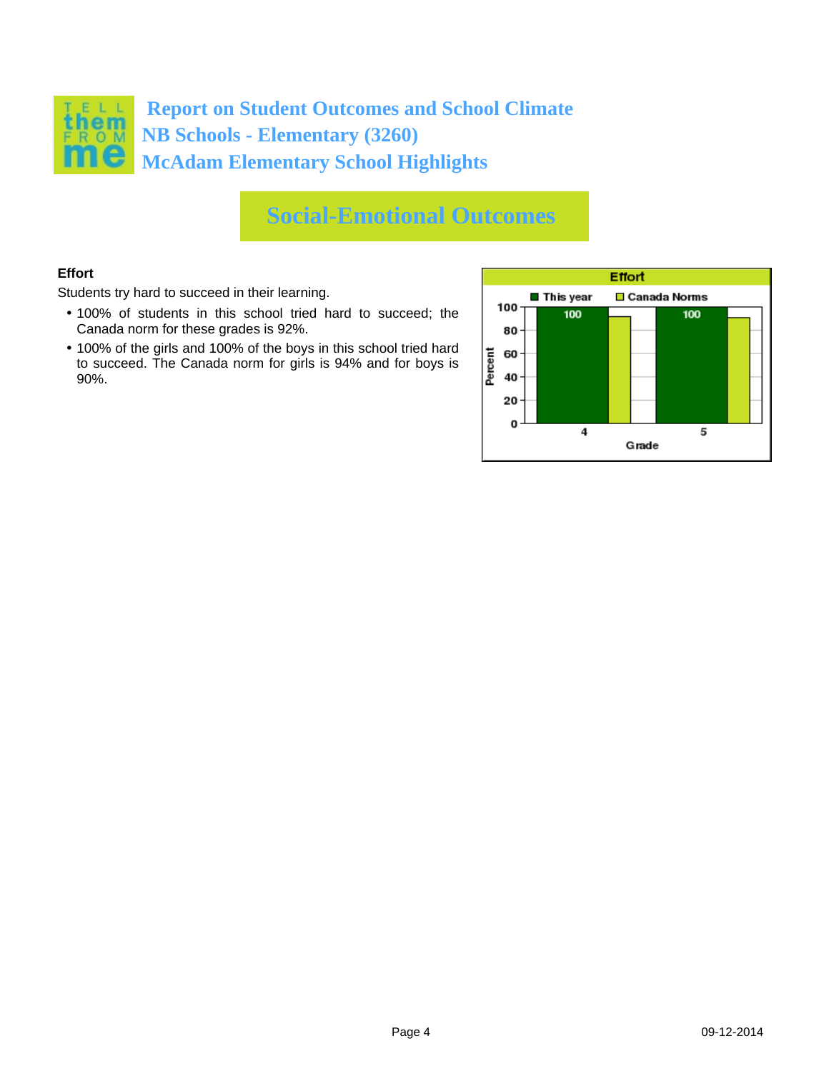

## **Social-Emotional Outcomes**

## **Effort**

Students try hard to succeed in their learning.

- 100% of students in this school tried hard to succeed; the Canada norm for these grades is 92%.
- 100% of the girls and 100% of the boys in this school tried hard to succeed. The Canada norm for girls is 94% and for boys is 90%.

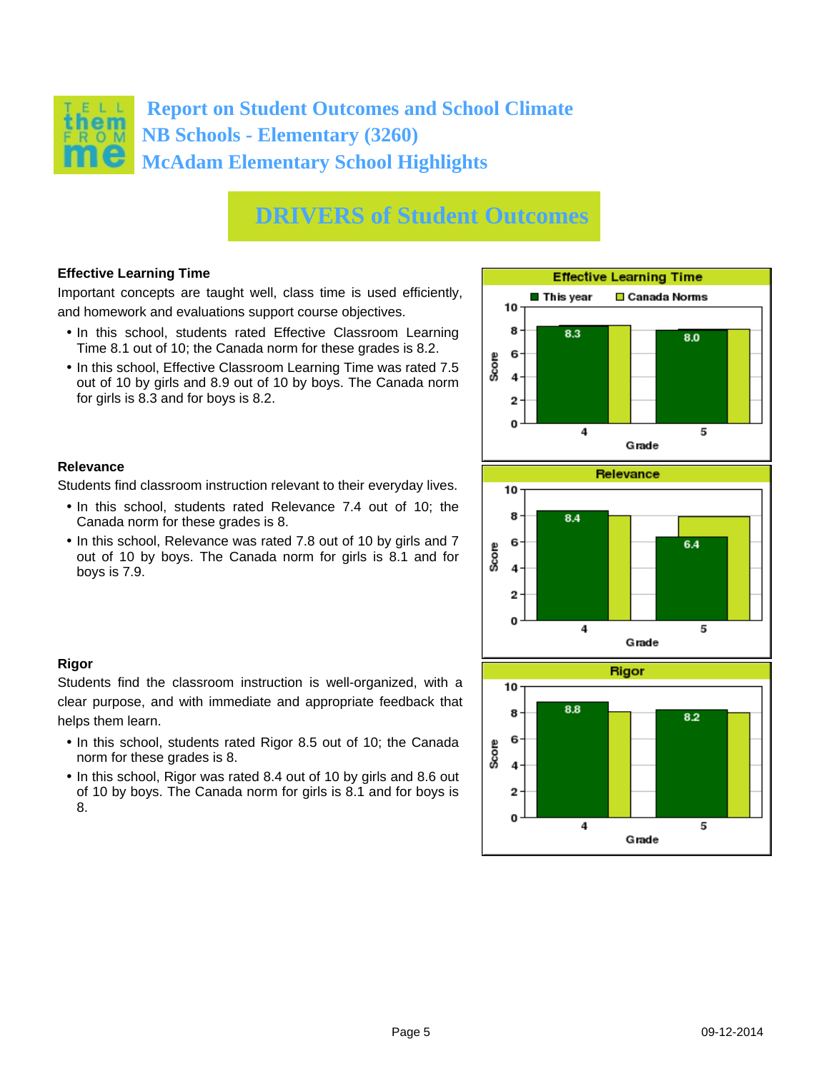

### **Effective Learning Time**

Important concepts are taught well, class time is used efficiently, and homework and evaluations support course objectives.

- In this school, students rated Effective Classroom Learning Time 8.1 out of 10; the Canada norm for these grades is 8.2.
- In this school, Effective Classroom Learning Time was rated 7.5 out of 10 by girls and 8.9 out of 10 by boys. The Canada norm for girls is 8.3 and for boys is 8.2.

Students find classroom instruction relevant to their everyday lives. • In this school, students rated Relevance 7.4 out of 10; the

• In this school, Relevance was rated 7.8 out of 10 by girls and 7 out of 10 by boys. The Canada norm for girls is 8.1 and for

Canada norm for these grades is 8.

#### **Effective Learning Time**  $\blacksquare$  This vear □ Canada Norms 10 8 8.3 8.0 6 Score 4  $\overline{2}$ 0  $\ddot{4}$ 5 Grade **Relevance** 10 8 84 6 64 Score 4  $\overline{2}$  $\bf{0}$ 5  $\overline{\bf{4}}$ Grade **Rigor** 10



## **Rigor**

**Relevance**

boys is 7.9.

Students find the classroom instruction is well-organized, with a clear purpose, and with immediate and appropriate feedback that helps them learn.

- In this school, students rated Rigor 8.5 out of 10; the Canada norm for these grades is 8.
- In this school, Rigor was rated 8.4 out of 10 by girls and 8.6 out of 10 by boys. The Canada norm for girls is 8.1 and for boys is 8.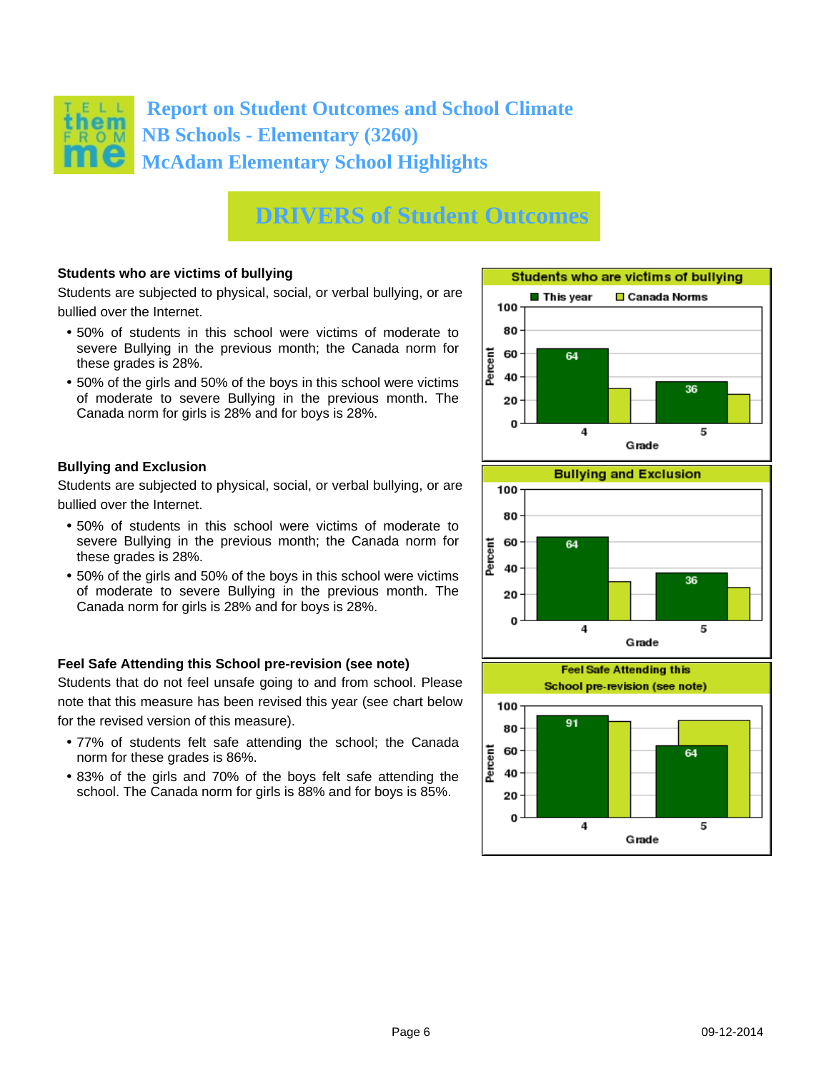

### **Students who are victims of bullying**

Students are subjected to physical, social, or verbal bullying, or are bullied over the Internet.

- 50% of students in this school were victims of moderate to severe Bullying in the previous month; the Canada norm for these grades is 28%.
- 50% of the girls and 50% of the boys in this school were victims of moderate to severe Bullying in the previous month. The Canada norm for girls is 28% and for boys is 28%.

#### **Bullying and Exclusion**

Students are subjected to physical, social, or verbal bullying, or are bullied over the Internet.

- 50% of students in this school were victims of moderate to severe Bullying in the previous month; the Canada norm for these grades is 28%.
- 50% of the girls and 50% of the boys in this school were victims of moderate to severe Bullying in the previous month. The Canada norm for girls is 28% and for boys is 28%.

#### **Feel Safe Attending this School pre-revision (see note)**

Students that do not feel unsafe going to and from school. Please note that this measure has been revised this year (see chart below for the revised version of this measure).

- 77% of students felt safe attending the school; the Canada norm for these grades is 86%.
- 83% of the girls and 70% of the boys felt safe attending the school. The Canada norm for girls is 88% and for boys is 85%.

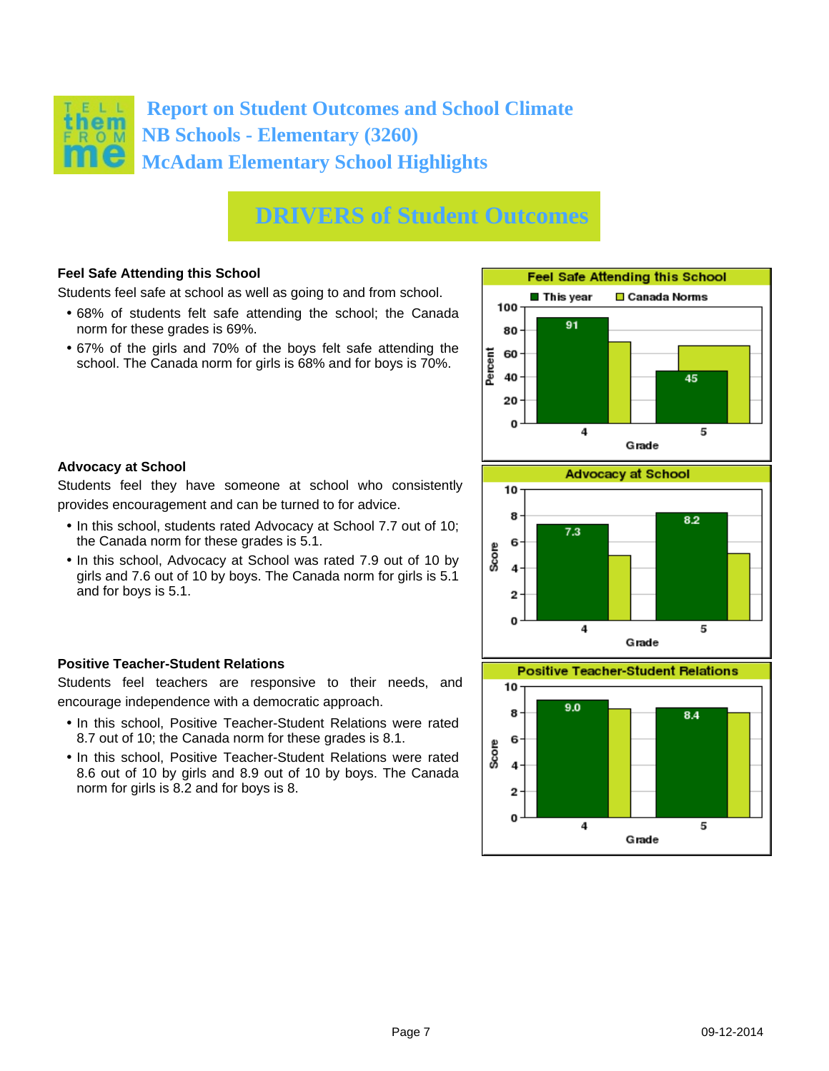

## **Feel Safe Attending this School**

Students feel safe at school as well as going to and from school.

- 68% of students felt safe attending the school; the Canada norm for these grades is 69%.
- 67% of the girls and 70% of the boys felt safe attending the school. The Canada norm for girls is 68% and for boys is 70%.





Students feel they have someone at school who consistently provides encouragement and can be turned to for advice.

- In this school, students rated Advocacy at School 7.7 out of 10; the Canada norm for these grades is 5.1.
- In this school, Advocacy at School was rated 7.9 out of 10 by girls and 7.6 out of 10 by boys. The Canada norm for girls is 5.1 and for boys is 5.1.

### **Positive Teacher-Student Relations**

Students feel teachers are responsive to their needs, and encourage independence with a democratic approach.

- In this school, Positive Teacher-Student Relations were rated 8.7 out of 10; the Canada norm for these grades is 8.1.
- In this school, Positive Teacher-Student Relations were rated 8.6 out of 10 by girls and 8.9 out of 10 by boys. The Canada norm for girls is 8.2 and for boys is 8.



**Positive Teacher-Student Relations** 

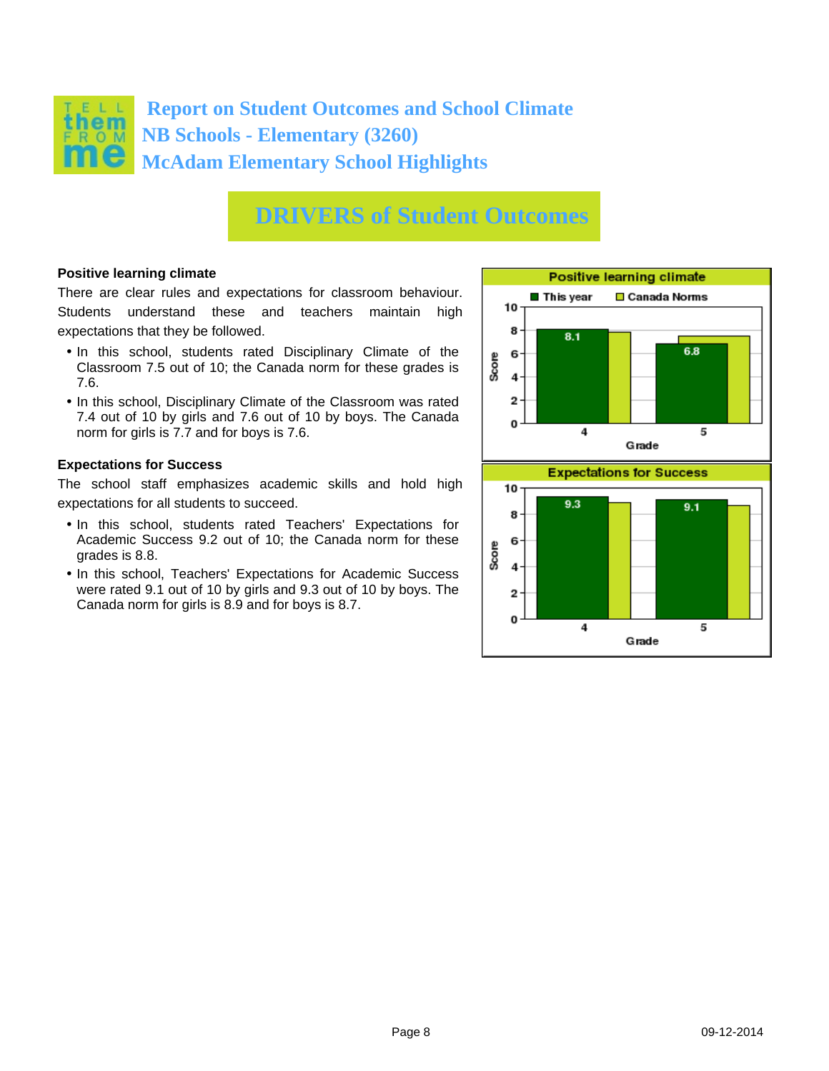

### **Positive learning climate**

There are clear rules and expectations for classroom behaviour. Students understand these and teachers maintain high expectations that they be followed.

- In this school, students rated Disciplinary Climate of the Classroom 7.5 out of 10; the Canada norm for these grades is 7.6.
- In this school, Disciplinary Climate of the Classroom was rated 7.4 out of 10 by girls and 7.6 out of 10 by boys. The Canada norm for girls is 7.7 and for boys is 7.6.

#### **Expectations for Success**

The school staff emphasizes academic skills and hold high expectations for all students to succeed.

- In this school, students rated Teachers' Expectations for Academic Success 9.2 out of 10; the Canada norm for these grades is 8.8.
- In this school, Teachers' Expectations for Academic Success were rated 9.1 out of 10 by girls and 9.3 out of 10 by boys. The Canada norm for girls is 8.9 and for boys is 8.7.

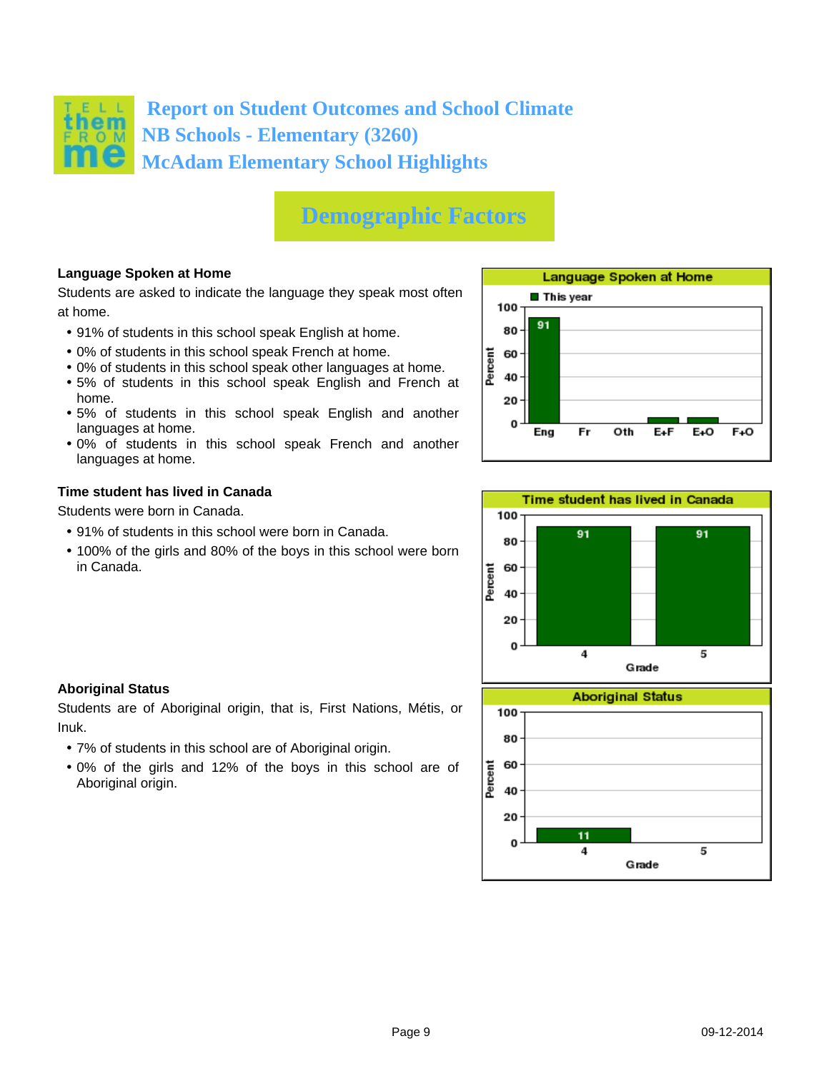

## **Demographic Factors**

## **Language Spoken at Home**

Students are asked to indicate the language they speak most often at home.

- 91% of students in this school speak English at home.
- 0% of students in this school speak French at home.
- 0% of students in this school speak other languages at home.
- 5% of students in this school speak English and French at home.
- 5% of students in this school speak English and another languages at home.
- 0% of students in this school speak French and another languages at home.

### **Time student has lived in Canada**

Students were born in Canada.

- 91% of students in this school were born in Canada.
- 100% of the girls and 80% of the boys in this school were born in Canada.





### **Aboriginal Status**

Students are of Aboriginal origin, that is, First Nations, Métis, or Inuk.

- 7% of students in this school are of Aboriginal origin.
- 0% of the girls and 12% of the boys in this school are of Aboriginal origin.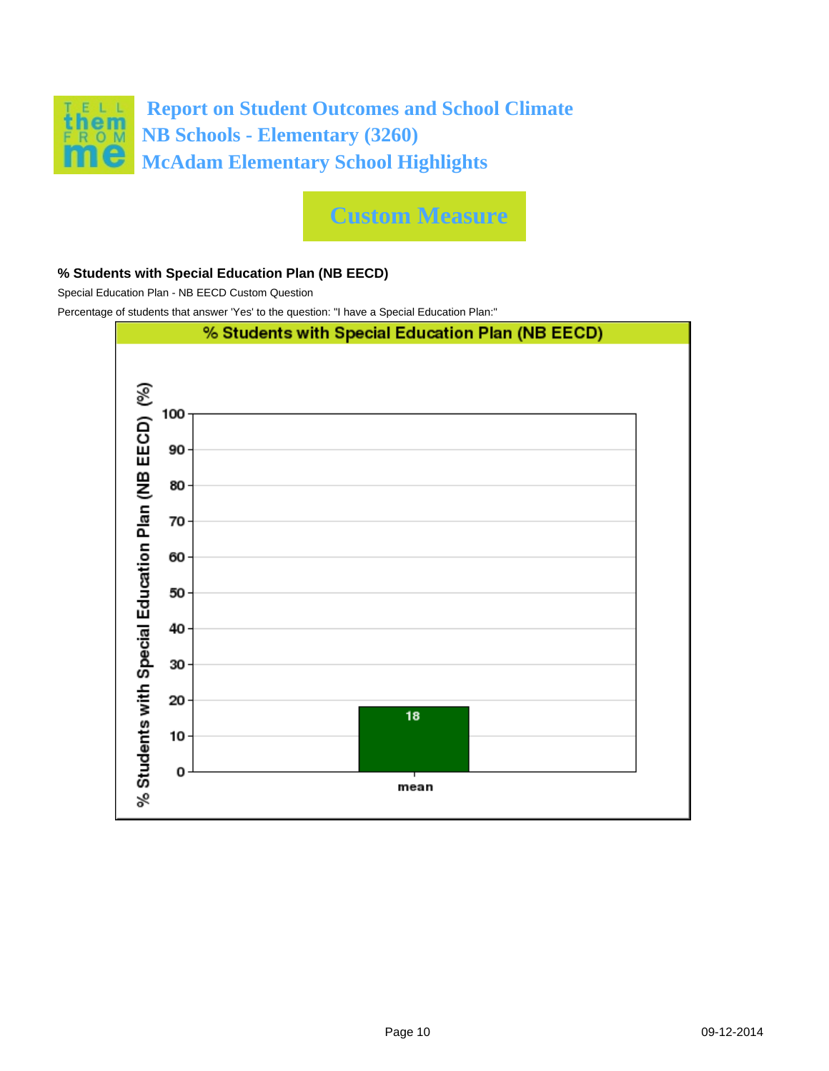

**Custom Measure**

### **% Students with Special Education Plan (NB EECD)**

Special Education Plan - NB EECD Custom Question

Percentage of students that answer 'Yes' to the question: "I have a Special Education Plan:"

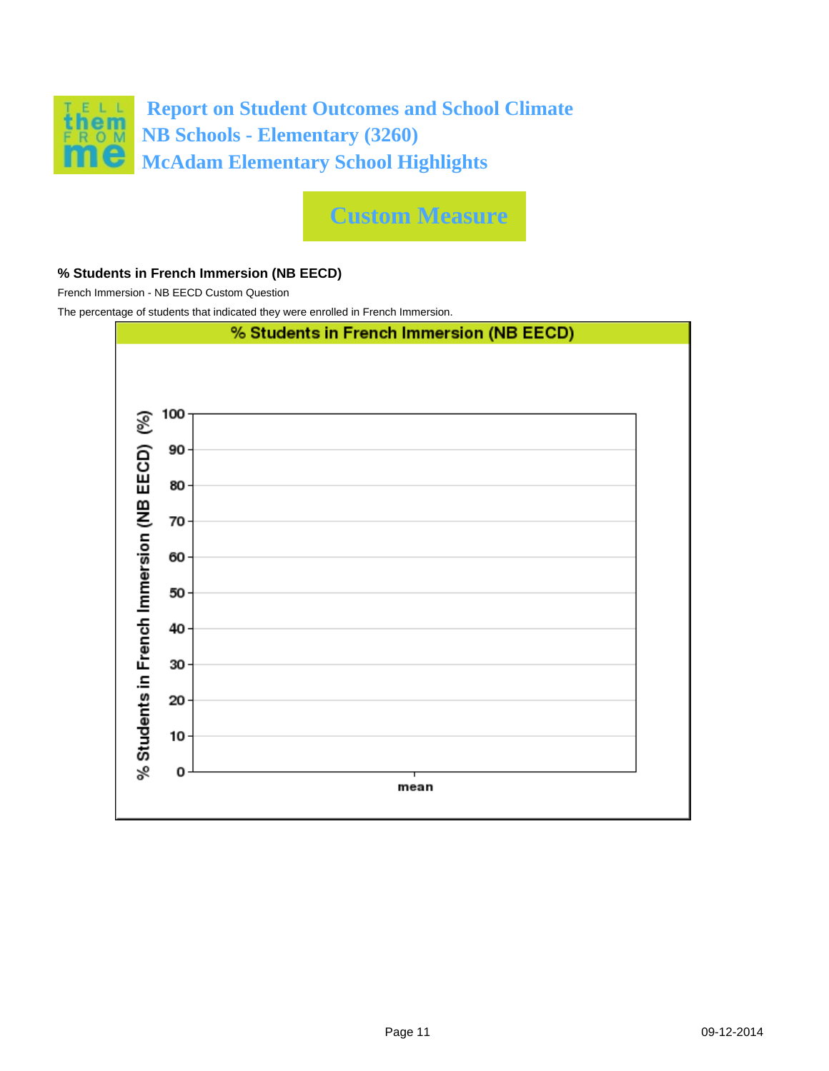

**Custom Measure**

### **% Students in French Immersion (NB EECD)**

French Immersion - NB EECD Custom Question

The percentage of students that indicated they were enrolled in French Immersion.

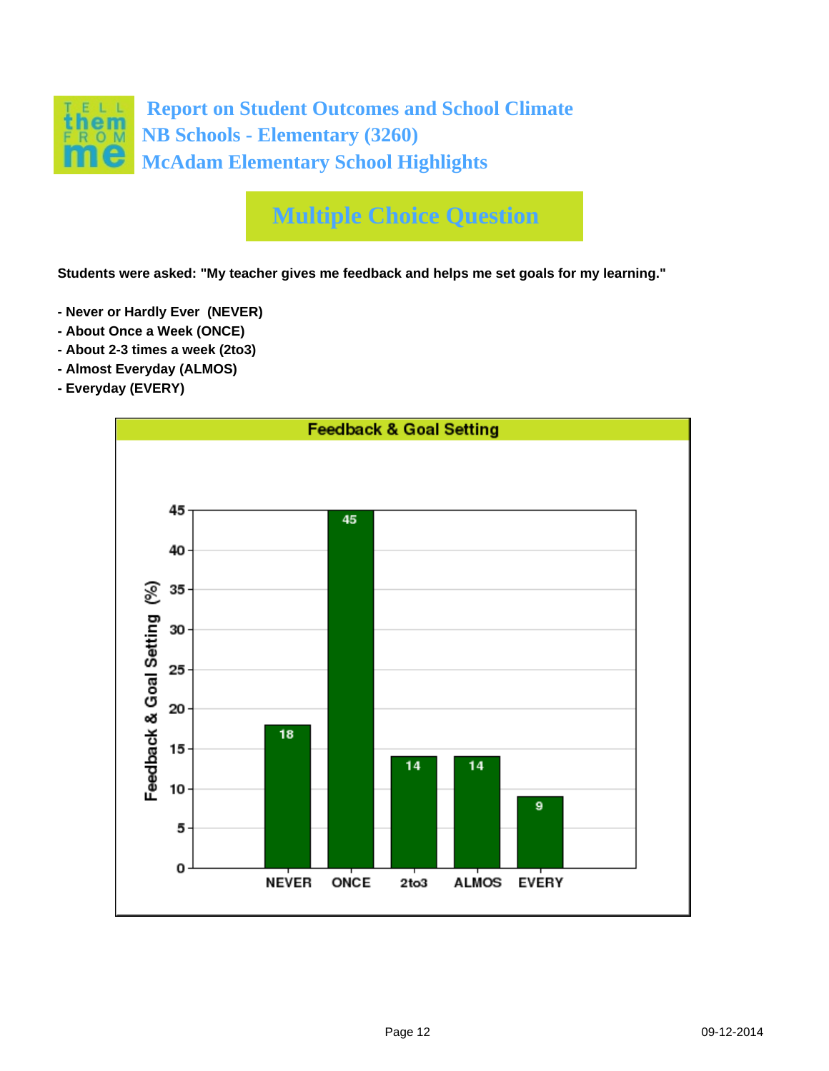

# **Multiple Choice Question**

**Students were asked: "My teacher gives me feedback and helps me set goals for my learning."**

- **Never or Hardly Ever (NEVER)**
- **About Once a Week (ONCE)**
- **About 2-3 times a week (2to3)**
- **Almost Everyday (ALMOS)**
- **Everyday (EVERY)**